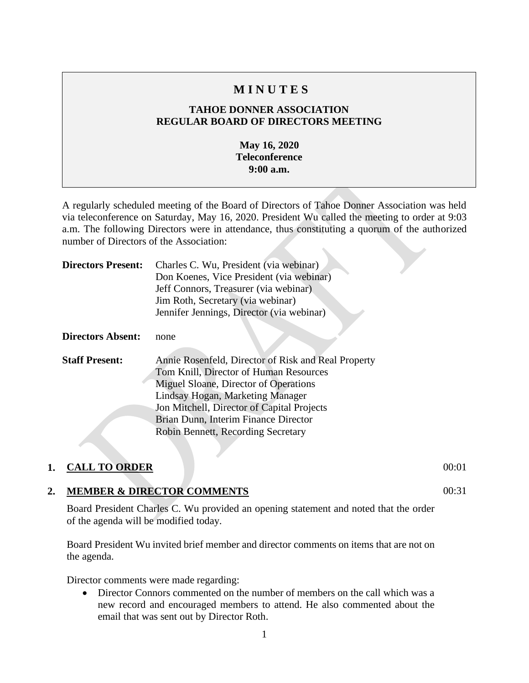# **M I N U T E S**

## **TAHOE DONNER ASSOCIATION REGULAR BOARD OF DIRECTORS MEETING**

#### **May 16, 2020 Teleconference 9:00 a.m.**

A regularly scheduled meeting of the Board of Directors of Tahoe Donner Association was held via teleconference on Saturday, May 16, 2020. President Wu called the meeting to order at 9:03 a.m. The following Directors were in attendance, thus constituting a quorum of the authorized number of Directors of the Association:

| <b>Directors Present:</b> | Charles C. Wu, President (via webinar)<br>Don Koenes, Vice President (via webinar)<br>Jeff Connors, Treasurer (via webinar)<br>Jim Roth, Secretary (via webinar)<br>Jennifer Jennings, Director (via webinar)                                                                                          |
|---------------------------|--------------------------------------------------------------------------------------------------------------------------------------------------------------------------------------------------------------------------------------------------------------------------------------------------------|
| <b>Directors Absent:</b>  | none                                                                                                                                                                                                                                                                                                   |
| <b>Staff Present:</b>     | Annie Rosenfeld, Director of Risk and Real Property<br>Tom Knill, Director of Human Resources<br>Miguel Sloane, Director of Operations<br>Lindsay Hogan, Marketing Manager<br>Jon Mitchell, Director of Capital Projects<br>Brian Dunn, Interim Finance Director<br>Robin Bennett, Recording Secretary |

## **1. CALL TO ORDER** 00:01

## **2. MEMBER & DIRECTOR COMMENTS**

Board President Charles C. Wu provided an opening statement and noted that the order of the agenda will be modified today.

Board President Wu invited brief member and director comments on items that are not on the agenda.

Director comments were made regarding:

• Director Connors commented on the number of members on the call which was a new record and encouraged members to attend. He also commented about the email that was sent out by Director Roth.

 $00:31$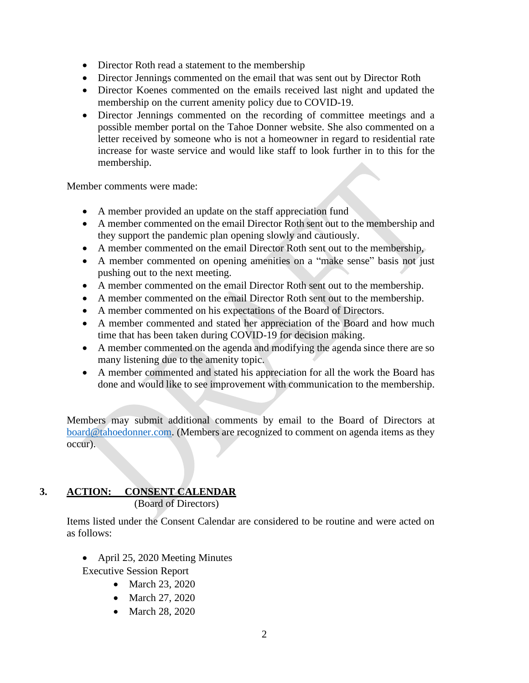- Director Roth read a statement to the membership
- Director Jennings commented on the email that was sent out by Director Roth
- Director Koenes commented on the emails received last night and updated the membership on the current amenity policy due to COVID-19.
- Director Jennings commented on the recording of committee meetings and a possible member portal on the Tahoe Donner website. She also commented on a letter received by someone who is not a homeowner in regard to residential rate increase for waste service and would like staff to look further in to this for the membership.

Member comments were made:

- A member provided an update on the staff appreciation fund
- A member commented on the email Director Roth sent out to the membership and they support the pandemic plan opening slowly and cautiously.
- A member commented on the email Director Roth sent out to the membership,
- A member commented on opening amenities on a "make sense" basis not just pushing out to the next meeting.
- A member commented on the email Director Roth sent out to the membership.
- A member commented on the email Director Roth sent out to the membership.
- A member commented on his expectations of the Board of Directors.
- A member commented and stated her appreciation of the Board and how much time that has been taken during COVID-19 for decision making.
- A member commented on the agenda and modifying the agenda since there are so many listening due to the amenity topic.
- A member commented and stated his appreciation for all the work the Board has done and would like to see improvement with communication to the membership.

Members may submit additional comments by email to the Board of Directors at [board@tahoedonner.com.](mailto:board@tahoedonner.com) (Members are recognized to comment on agenda items as they occur).

# **3. ACTION: CONSENT CALENDAR**

(Board of Directors)

Items listed under the Consent Calendar are considered to be routine and were acted on as follows:

• April 25, 2020 Meeting Minutes

Executive Session Report

- March 23, 2020
- March 27, 2020
- March 28, 2020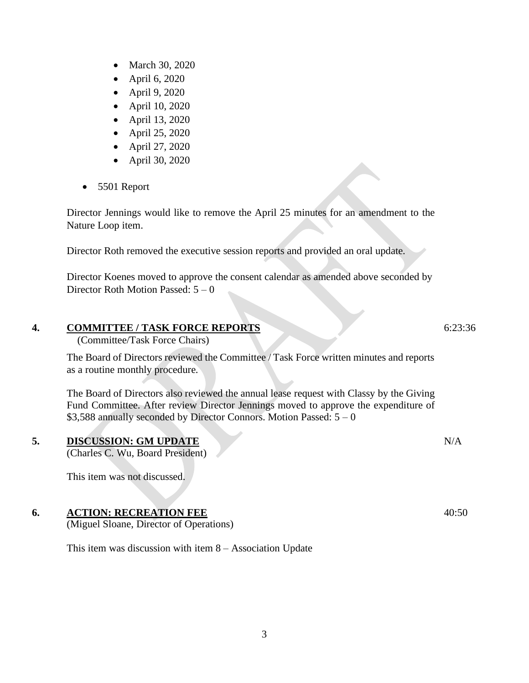- March 30, 2020
- April 6, 2020
- April 9, 2020
- April 10, 2020
- April 13, 2020
- April 25, 2020
- April 27, 2020
- April 30, 2020
- 5501 Report

Director Jennings would like to remove the April 25 minutes for an amendment to the Nature Loop item.

Director Roth removed the executive session reports and provided an oral update.

Director Koenes moved to approve the consent calendar as amended above seconded by Director Roth Motion Passed: 5 – 0

## **4. COMMITTEE / TASK FORCE REPORTS**

(Committee/Task Force Chairs)

The Board of Directors reviewed the Committee / Task Force written minutes and reports as a routine monthly procedure.

The Board of Directors also reviewed the annual lease request with Classy by the Giving Fund Committee. After review Director Jennings moved to approve the expenditure of  $$3,588$  annually seconded by Director Connors. Motion Passed:  $5 - 0$ 

## **5. DISCUSSION: GM UPDATE**

(Charles C. Wu, Board President)

This item was not discussed.

## **6. ACTION: RECREATION FEE**

(Miguel Sloane, Director of Operations)

This item was discussion with item 8 – Association Update

6:23:36

40:50

N/A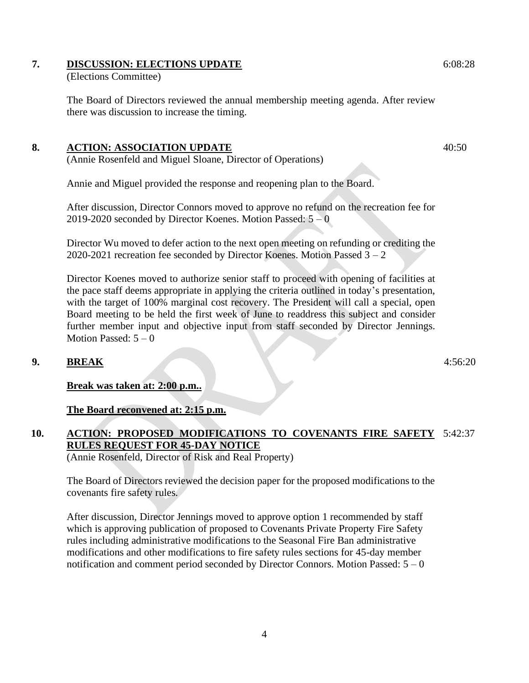## **7. DISCUSSION: ELECTIONS UPDATE**

(Elections Committee)

The Board of Directors reviewed the annual membership meeting agenda. After review there was discussion to increase the timing.

#### **8. ACTION: ASSOCIATION UPDATE**

(Annie Rosenfeld and Miguel Sloane, Director of Operations)

Annie and Miguel provided the response and reopening plan to the Board.

After discussion, Director Connors moved to approve no refund on the recreation fee for 2019-2020 seconded by Director Koenes. Motion Passed:  $5 - 0$ 

Director Wu moved to defer action to the next open meeting on refunding or crediting the 2020-2021 recreation fee seconded by Director Koenes. Motion Passed  $3 - 2$ 

Director Koenes moved to authorize senior staff to proceed with opening of facilities at the pace staff deems appropriate in applying the criteria outlined in today's presentation, with the target of 100% marginal cost recovery. The President will call a special, open Board meeting to be held the first week of June to readdress this subject and consider further member input and objective input from staff seconded by Director Jennings. Motion Passed:  $5 - 0$ 

## **9. BREAK**

**Break was taken at: 2:00 p.m..**

**The Board reconvened at: 2:15 p.m.**

#### **10. ACTION: PROPOSED MODIFICATIONS TO COVENANTS FIRE SAFETY**  5:42:37**RULES REQUEST FOR 45-DAY NOTICE** (Annie Rosenfeld, Director of Risk and Real Property)

The Board of Directors reviewed the decision paper for the proposed modifications to the covenants fire safety rules.

After discussion, Director Jennings moved to approve option 1 recommended by staff which is approving publication of proposed to Covenants Private Property Fire Safety rules including administrative modifications to the Seasonal Fire Ban administrative modifications and other modifications to fire safety rules sections for 45-day member notification and comment period seconded by Director Connors. Motion Passed:  $5 - 0$  6:08:28

40:50

4:56:20